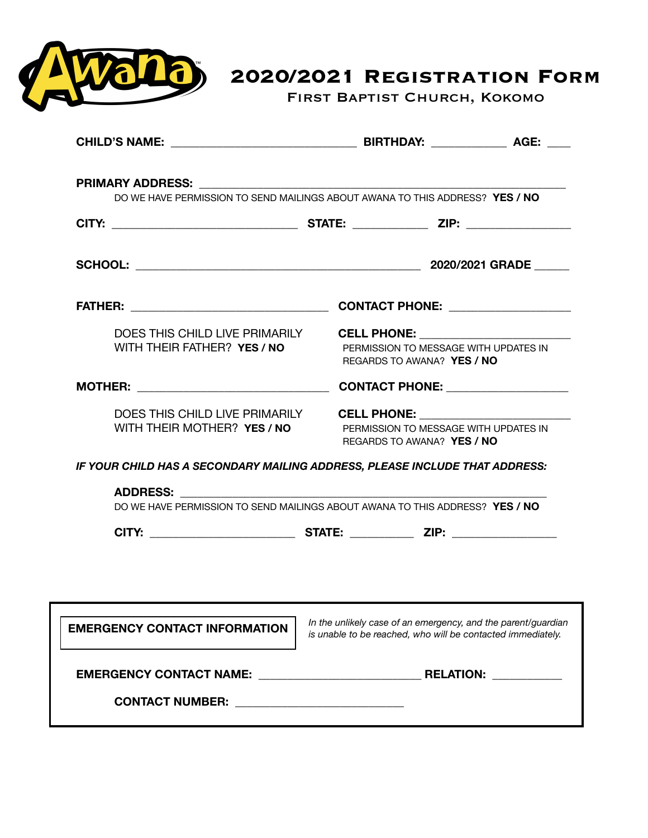

**2020/2021 Registration Form** 

First Baptist Church, Kokomo

| PRIMARY ADDRESS: And the Communication of the Communication of the Communication of the Communication of the C | DO WE HAVE PERMISSION TO SEND MAILINGS ABOUT AWANA TO THIS ADDRESS? YES / NO                                                                                                                                                                                                                                                                                                             |  |
|----------------------------------------------------------------------------------------------------------------|------------------------------------------------------------------------------------------------------------------------------------------------------------------------------------------------------------------------------------------------------------------------------------------------------------------------------------------------------------------------------------------|--|
|                                                                                                                |                                                                                                                                                                                                                                                                                                                                                                                          |  |
|                                                                                                                |                                                                                                                                                                                                                                                                                                                                                                                          |  |
|                                                                                                                | CONTACT PHONE: Network and CONTACT PHONE                                                                                                                                                                                                                                                                                                                                                 |  |
| DOES THIS CHILD LIVE PRIMARILY<br>WITH THEIR FATHER? YES / NO                                                  | CELL PHONE: ________________________<br>PERMISSION TO MESSAGE WITH UPDATES IN<br>REGARDS TO AWANA? YES / NO                                                                                                                                                                                                                                                                              |  |
| <b>MOTHER:</b> __________________________________                                                              | CONTACT PHONE: _________________                                                                                                                                                                                                                                                                                                                                                         |  |
| DOES THIS CHILD LIVE PRIMARILY<br>WITH THEIR MOTHER? YES / NO                                                  | <b>CELL PHONE:</b> The contract of the contract of the contract of the contract of the contract of the contract of the contract of the contract of the contract of the contract of the contract of the contract of the contract of<br>PERMISSION TO MESSAGE WITH UPDATES IN<br>REGARDS TO AWANA? YES / NO<br>IF YOUR CHILD HAS A SECONDARY MAILING ADDRESS, PLEASE INCLUDE THAT ADDRESS: |  |
| <b>ADDRESS:</b>                                                                                                | DO WE HAVE PERMISSION TO SEND MAILINGS ABOUT AWANA TO THIS ADDRESS? YES / NO                                                                                                                                                                                                                                                                                                             |  |
|                                                                                                                |                                                                                                                                                                                                                                                                                                                                                                                          |  |
| <b>EMERGENCY CONTACT INFORMATION</b>                                                                           | In the unlikely case of an emergency, and the parent/guardian<br>is unable to be reached, who will be contacted immediately.                                                                                                                                                                                                                                                             |  |
|                                                                                                                |                                                                                                                                                                                                                                                                                                                                                                                          |  |
| CONTACT NUMBER: ______________________________                                                                 |                                                                                                                                                                                                                                                                                                                                                                                          |  |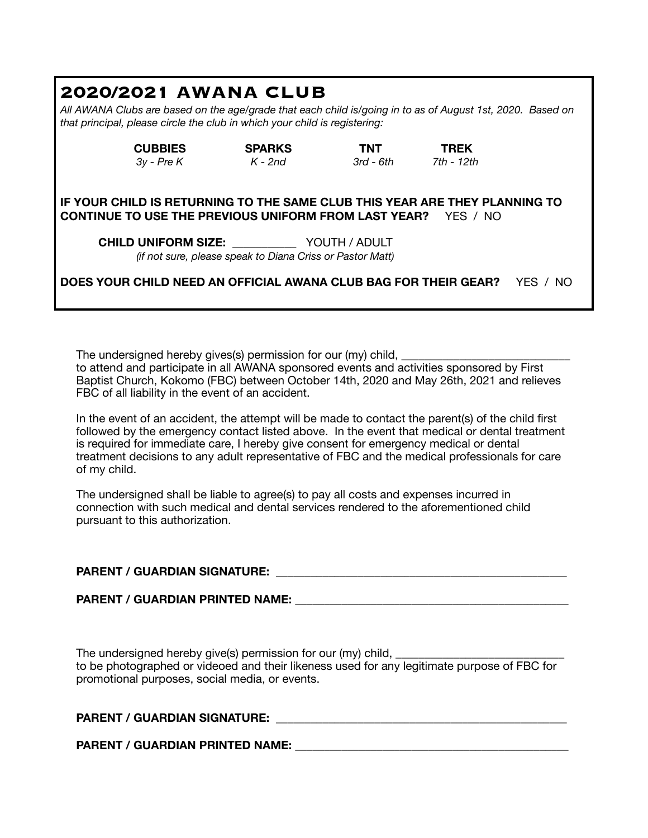## **2020/2021 AWANA CLUB**

*All AWANA Clubs are based on the age/grade that each child is/going in to as of August 1st, 2020. Based on that principal, please circle the club in which your child is registering:* 

> **CUBBIES SPARKS TNT TREK**  *3y - Pre K K - 2nd 3rd - 6th 7th - 12th*

**IF YOUR CHILD IS RETURNING TO THE SAME CLUB THIS YEAR ARE THEY PLANNING TO CONTINUE TO USE THE PREVIOUS UNIFORM FROM LAST YEAR?** YES / NO

**CHILD UNIFORM SIZE:** \_\_\_\_\_\_\_\_\_\_\_ YOUTH / ADULT *(if not sure, please speak to Diana Criss or Pastor Matt)* 

**DOES YOUR CHILD NEED AN OFFICIAL AWANA CLUB BAG FOR THEIR GEAR?** YES / NO

The undersigned hereby gives(s) permission for our (my) child, to attend and participate in all AWANA sponsored events and activities sponsored by First Baptist Church, Kokomo (FBC) between October 14th, 2020 and May 26th, 2021 and relieves FBC of all liability in the event of an accident.

In the event of an accident, the attempt will be made to contact the parent(s) of the child first followed by the emergency contact listed above. In the event that medical or dental treatment is required for immediate care, I hereby give consent for emergency medical or dental treatment decisions to any adult representative of FBC and the medical professionals for care of my child.

The undersigned shall be liable to agree(s) to pay all costs and expenses incurred in connection with such medical and dental services rendered to the aforementioned child pursuant to this authorization.

### **PARENT / GUARDIAN SIGNATURE: \_\_\_\_\_\_\_\_\_\_\_\_\_\_\_\_\_\_\_\_\_\_\_\_\_\_\_\_\_\_\_\_\_\_\_\_\_\_\_\_\_\_\_\_\_\_\_\_\_\_**

PARENT / GUARDIAN PRINTED NAME:

The undersigned hereby give(s) permission for our (my) child, to be photographed or videoed and their likeness used for any legitimate purpose of FBC for promotional purposes, social media, or events.

| <b>PARENT / GUARDIAN SIGNATURE:</b> |  |
|-------------------------------------|--|
|                                     |  |

PARENT / GUARDIAN PRINTED NAME: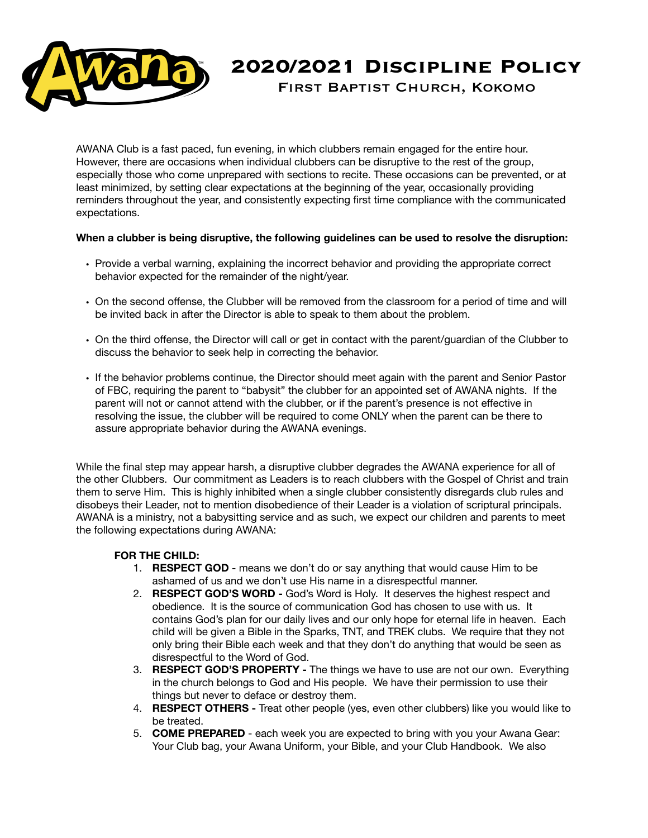

# **2020/2021 Discipline Policy**

First Baptist Church, Kokomo

AWANA Club is a fast paced, fun evening, in which clubbers remain engaged for the entire hour. However, there are occasions when individual clubbers can be disruptive to the rest of the group, especially those who come unprepared with sections to recite. These occasions can be prevented, or at least minimized, by setting clear expectations at the beginning of the year, occasionally providing reminders throughout the year, and consistently expecting first time compliance with the communicated expectations.

#### **When a clubber is being disruptive, the following guidelines can be used to resolve the disruption:**

- Provide a verbal warning, explaining the incorrect behavior and providing the appropriate correct behavior expected for the remainder of the night/year.
- On the second offense, the Clubber will be removed from the classroom for a period of time and will be invited back in after the Director is able to speak to them about the problem.
- On the third offense, the Director will call or get in contact with the parent/guardian of the Clubber to discuss the behavior to seek help in correcting the behavior.
- If the behavior problems continue, the Director should meet again with the parent and Senior Pastor of FBC, requiring the parent to "babysit" the clubber for an appointed set of AWANA nights. If the parent will not or cannot attend with the clubber, or if the parent's presence is not effective in resolving the issue, the clubber will be required to come ONLY when the parent can be there to assure appropriate behavior during the AWANA evenings.

While the final step may appear harsh, a disruptive clubber degrades the AWANA experience for all of the other Clubbers. Our commitment as Leaders is to reach clubbers with the Gospel of Christ and train them to serve Him. This is highly inhibited when a single clubber consistently disregards club rules and disobeys their Leader, not to mention disobedience of their Leader is a violation of scriptural principals. AWANA is a ministry, not a babysitting service and as such, we expect our children and parents to meet the following expectations during AWANA:

#### **FOR THE CHILD:**

- 1. **RESPECT GOD**  means we don't do or say anything that would cause Him to be ashamed of us and we don't use His name in a disrespectful manner.
- 2. **RESPECT GOD'S WORD -** God's Word is Holy. It deserves the highest respect and obedience. It is the source of communication God has chosen to use with us. It contains God's plan for our daily lives and our only hope for eternal life in heaven. Each child will be given a Bible in the Sparks, TNT, and TREK clubs. We require that they not only bring their Bible each week and that they don't do anything that would be seen as disrespectful to the Word of God.
- 3. **RESPECT GOD'S PROPERTY** The things we have to use are not our own. Everything in the church belongs to God and His people. We have their permission to use their things but never to deface or destroy them.
- 4. **RESPECT OTHERS -** Treat other people (yes, even other clubbers) like you would like to be treated.
- 5. **COME PREPARED** each week you are expected to bring with you your Awana Gear: Your Club bag, your Awana Uniform, your Bible, and your Club Handbook. We also